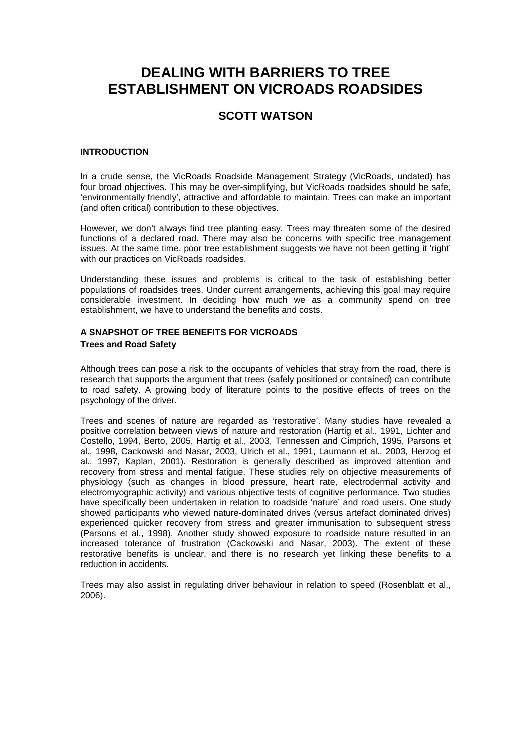# **DEALING WITH BARRIERS TO TREE ESTABLISHMENT ON VICROADS ROADSIDES**

# **SCOTT WATSON**

## **INTRODUCTION**

In a crude sense, the VicRoads Roadside Management Strategy (VicRoads, undated) has four broad objectives. This may be over-simplifying, but VicRoads roadsides should be safe, 'environmentally friendly', attractive and affordable to maintain. Trees can make an important (and often critical) contribution to these objectives.

However, we don't always find tree planting easy. Trees may threaten some of the desired functions of a declared road. There may also be concerns with specific tree management issues. At the same time, poor tree establishment suggests we have not been getting it 'right' with our practices on VicRoads roadsides.

Understanding these issues and problems is critical to the task of establishing better populations of roadsides trees. Under current arrangements, achieving this goal may require considerable investment. In deciding how much we as a community spend on tree establishment, we have to understand the benefits and costs.

# **A SNAPSHOT OF TREE BENEFITS FOR VICROADS Trees and Road Safety**

Although trees can pose a risk to the occupants of vehicles that stray from the road, there is research that supports the argument that trees (safely positioned or contained) can contribute to road safety. A growing body of literature points to the positive effects of trees on the psychology of the driver.

Trees and scenes of nature are regarded as 'restorative'. Many studies have revealed a positive correlation between views of nature and restoration (Hartig et al., 1991, Lichter and Costello, 1994, Berto, 2005, Hartig et al., 2003, Tennessen and Cimprich, 1995, Parsons et al., 1998, Cackowski and Nasar, 2003, Ulrich et al., 1991, Laumann et al., 2003, Herzog et al., 1997, Kaplan, 2001). Restoration is generally described as improved attention and recovery from stress and mental fatigue. These studies rely on objective measurements of physiology (such as changes in blood pressure, heart rate, electrodermal activity and electromyographic activity) and various objective tests of cognitive performance. Two studies have specifically been undertaken in relation to roadside 'nature' and road users. One study showed participants who viewed nature-dominated drives (versus artefact dominated drives) experienced quicker recovery from stress and greater immunisation to subsequent stress (Parsons et al., 1998). Another study showed exposure to roadside nature resulted in an increased tolerance of frustration (Cackowski and Nasar, 2003). The extent of these restorative benefits is unclear, and there is no research yet linking these benefits to a reduction in accidents.

Trees may also assist in regulating driver behaviour in relation to speed (Rosenblatt et al., 2006).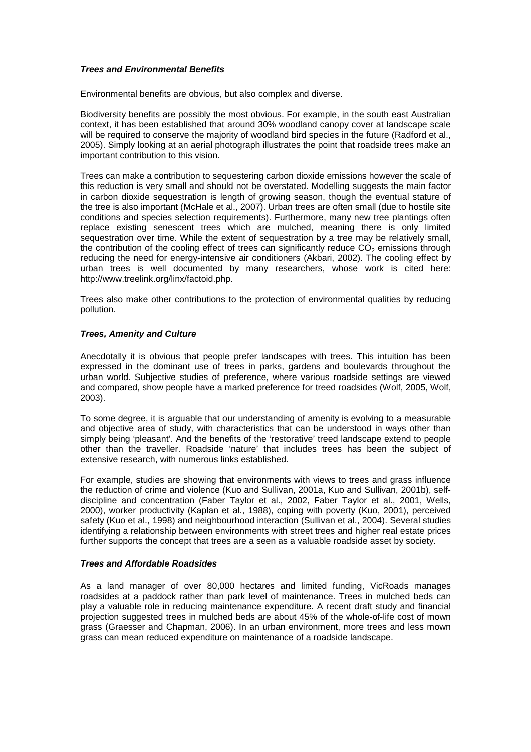#### **Trees and Environmental Benefits**

Environmental benefits are obvious, but also complex and diverse.

Biodiversity benefits are possibly the most obvious. For example, in the south east Australian context, it has been established that around 30% woodland canopy cover at landscape scale will be required to conserve the majority of woodland bird species in the future (Radford et al., 2005). Simply looking at an aerial photograph illustrates the point that roadside trees make an important contribution to this vision.

Trees can make a contribution to sequestering carbon dioxide emissions however the scale of this reduction is very small and should not be overstated. Modelling suggests the main factor in carbon dioxide sequestration is length of growing season, though the eventual stature of the tree is also important (McHale et al., 2007). Urban trees are often small (due to hostile site conditions and species selection requirements). Furthermore, many new tree plantings often replace existing senescent trees which are mulched, meaning there is only limited sequestration over time. While the extent of sequestration by a tree may be relatively small, the contribution of the cooling effect of trees can significantly reduce  $CO<sub>2</sub>$  emissions through reducing the need for energy-intensive air conditioners (Akbari, 2002). The cooling effect by urban trees is well documented by many researchers, whose work is cited here: http://www.treelink.org/linx/factoid.php.

Trees also make other contributions to the protection of environmental qualities by reducing pollution.

#### **Trees, Amenity and Culture**

Anecdotally it is obvious that people prefer landscapes with trees. This intuition has been expressed in the dominant use of trees in parks, gardens and boulevards throughout the urban world. Subjective studies of preference, where various roadside settings are viewed and compared, show people have a marked preference for treed roadsides (Wolf, 2005, Wolf, 2003).

To some degree, it is arguable that our understanding of amenity is evolving to a measurable and objective area of study, with characteristics that can be understood in ways other than simply being 'pleasant'. And the benefits of the 'restorative' treed landscape extend to people other than the traveller. Roadside 'nature' that includes trees has been the subject of extensive research, with numerous links established.

For example, studies are showing that environments with views to trees and grass influence the reduction of crime and violence (Kuo and Sullivan, 2001a, Kuo and Sullivan, 2001b), selfdiscipline and concentration (Faber Taylor et al., 2002, Faber Taylor et al., 2001, Wells, 2000), worker productivity (Kaplan et al., 1988), coping with poverty (Kuo, 2001), perceived safety (Kuo et al., 1998) and neighbourhood interaction (Sullivan et al., 2004). Several studies identifying a relationship between environments with street trees and higher real estate prices further supports the concept that trees are a seen as a valuable roadside asset by society.

### **Trees and Affordable Roadsides**

As a land manager of over 80,000 hectares and limited funding, VicRoads manages roadsides at a paddock rather than park level of maintenance. Trees in mulched beds can play a valuable role in reducing maintenance expenditure. A recent draft study and financial projection suggested trees in mulched beds are about 45% of the whole-of-life cost of mown grass (Graesser and Chapman, 2006). In an urban environment, more trees and less mown grass can mean reduced expenditure on maintenance of a roadside landscape.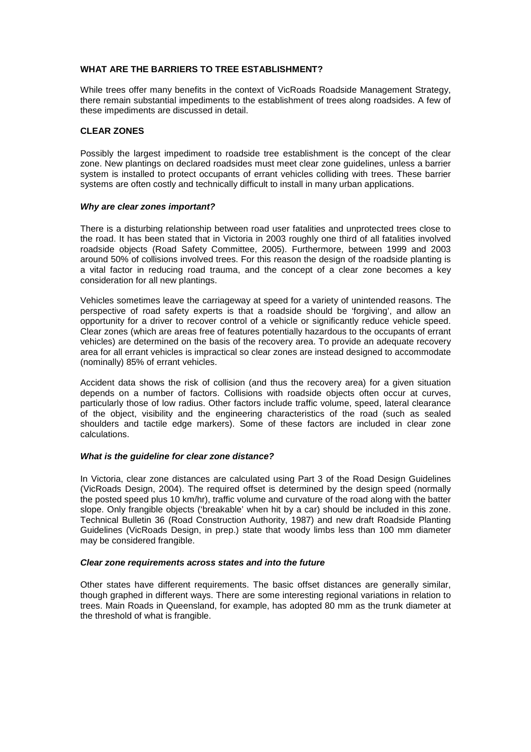## **WHAT ARE THE BARRIERS TO TREE ESTABLISHMENT?**

While trees offer many benefits in the context of VicRoads Roadside Management Strategy, there remain substantial impediments to the establishment of trees along roadsides. A few of these impediments are discussed in detail.

#### **CLEAR ZONES**

Possibly the largest impediment to roadside tree establishment is the concept of the clear zone. New plantings on declared roadsides must meet clear zone guidelines, unless a barrier system is installed to protect occupants of errant vehicles colliding with trees. These barrier systems are often costly and technically difficult to install in many urban applications.

#### **Why are clear zones important?**

There is a disturbing relationship between road user fatalities and unprotected trees close to the road. It has been stated that in Victoria in 2003 roughly one third of all fatalities involved roadside objects (Road Safety Committee, 2005). Furthermore, between 1999 and 2003 around 50% of collisions involved trees. For this reason the design of the roadside planting is a vital factor in reducing road trauma, and the concept of a clear zone becomes a key consideration for all new plantings.

Vehicles sometimes leave the carriageway at speed for a variety of unintended reasons. The perspective of road safety experts is that a roadside should be 'forgiving', and allow an opportunity for a driver to recover control of a vehicle or significantly reduce vehicle speed. Clear zones (which are areas free of features potentially hazardous to the occupants of errant vehicles) are determined on the basis of the recovery area. To provide an adequate recovery area for all errant vehicles is impractical so clear zones are instead designed to accommodate (nominally) 85% of errant vehicles.

Accident data shows the risk of collision (and thus the recovery area) for a given situation depends on a number of factors. Collisions with roadside objects often occur at curves, particularly those of low radius. Other factors include traffic volume, speed, lateral clearance of the object, visibility and the engineering characteristics of the road (such as sealed shoulders and tactile edge markers). Some of these factors are included in clear zone calculations.

#### **What is the guideline for clear zone distance?**

In Victoria, clear zone distances are calculated using Part 3 of the Road Design Guidelines (VicRoads Design, 2004). The required offset is determined by the design speed (normally the posted speed plus 10 km/hr), traffic volume and curvature of the road along with the batter slope. Only frangible objects ('breakable' when hit by a car) should be included in this zone. Technical Bulletin 36 (Road Construction Authority, 1987) and new draft Roadside Planting Guidelines (VicRoads Design, in prep.) state that woody limbs less than 100 mm diameter may be considered frangible.

# **Clear zone requirements across states and into the future**

Other states have different requirements. The basic offset distances are generally similar, though graphed in different ways. There are some interesting regional variations in relation to trees. Main Roads in Queensland, for example, has adopted 80 mm as the trunk diameter at the threshold of what is frangible.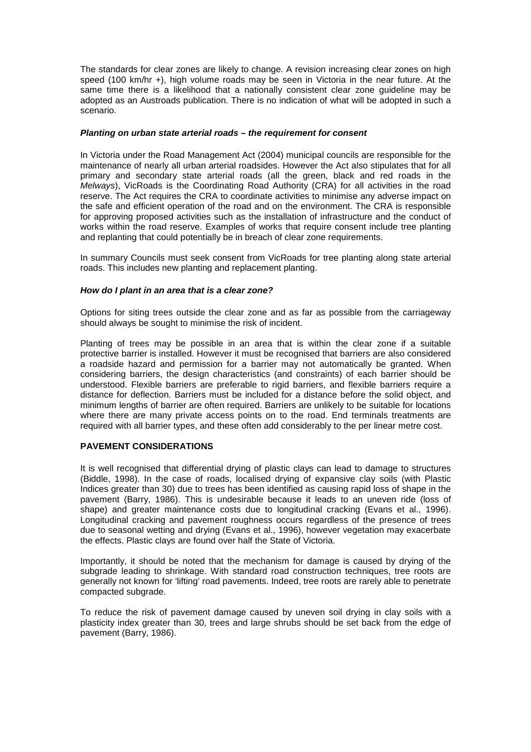The standards for clear zones are likely to change. A revision increasing clear zones on high speed (100 km/hr +), high volume roads may be seen in Victoria in the near future. At the same time there is a likelihood that a nationally consistent clear zone guideline may be adopted as an Austroads publication. There is no indication of what will be adopted in such a scenario.

#### **Planting on urban state arterial roads – the requirement for consent**

In Victoria under the Road Management Act (2004) municipal councils are responsible for the maintenance of nearly all urban arterial roadsides. However the Act also stipulates that for all primary and secondary state arterial roads (all the green, black and red roads in the Melways), VicRoads is the Coordinating Road Authority (CRA) for all activities in the road reserve. The Act requires the CRA to coordinate activities to minimise any adverse impact on the safe and efficient operation of the road and on the environment. The CRA is responsible for approving proposed activities such as the installation of infrastructure and the conduct of works within the road reserve. Examples of works that require consent include tree planting and replanting that could potentially be in breach of clear zone requirements.

In summary Councils must seek consent from VicRoads for tree planting along state arterial roads. This includes new planting and replacement planting.

#### **How do I plant in an area that is a clear zone?**

Options for siting trees outside the clear zone and as far as possible from the carriageway should always be sought to minimise the risk of incident.

Planting of trees may be possible in an area that is within the clear zone if a suitable protective barrier is installed. However it must be recognised that barriers are also considered a roadside hazard and permission for a barrier may not automatically be granted. When considering barriers, the design characteristics (and constraints) of each barrier should be understood. Flexible barriers are preferable to rigid barriers, and flexible barriers require a distance for deflection. Barriers must be included for a distance before the solid object, and minimum lengths of barrier are often required. Barriers are unlikely to be suitable for locations where there are many private access points on to the road. End terminals treatments are required with all barrier types, and these often add considerably to the per linear metre cost.

#### **PAVEMENT CONSIDERATIONS**

It is well recognised that differential drying of plastic clays can lead to damage to structures (Biddle, 1998). In the case of roads, localised drying of expansive clay soils (with Plastic Indices greater than 30) due to trees has been identified as causing rapid loss of shape in the pavement (Barry, 1986). This is undesirable because it leads to an uneven ride (loss of shape) and greater maintenance costs due to longitudinal cracking (Evans et al., 1996). Longitudinal cracking and pavement roughness occurs regardless of the presence of trees due to seasonal wetting and drying (Evans et al., 1996), however vegetation may exacerbate the effects. Plastic clays are found over half the State of Victoria.

Importantly, it should be noted that the mechanism for damage is caused by drying of the subgrade leading to shrinkage. With standard road construction techniques, tree roots are generally not known for 'lifting' road pavements. Indeed, tree roots are rarely able to penetrate compacted subgrade.

To reduce the risk of pavement damage caused by uneven soil drying in clay soils with a plasticity index greater than 30, trees and large shrubs should be set back from the edge of pavement (Barry, 1986).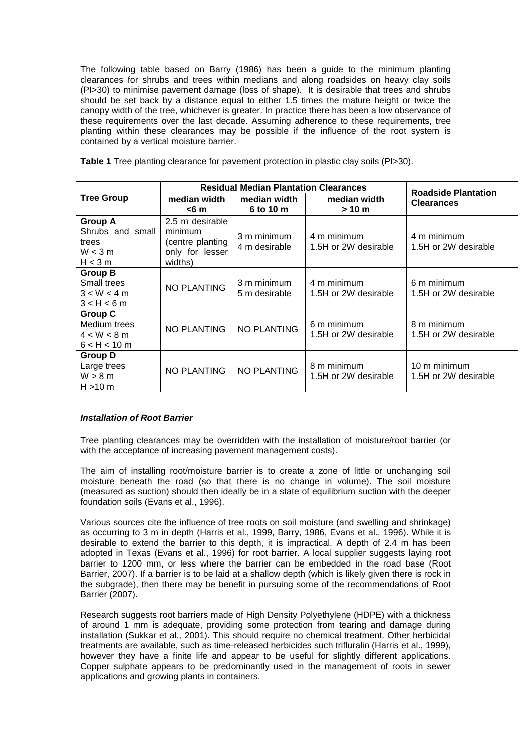The following table based on Barry (1986) has been a guide to the minimum planting clearances for shrubs and trees within medians and along roadsides on heavy clay soils (PI>30) to minimise pavement damage (loss of shape). It is desirable that trees and shrubs should be set back by a distance equal to either 1.5 times the mature height or twice the canopy width of the tree, whichever is greater. In practice there has been a low observance of these requirements over the last decade. Assuming adherence to these requirements, tree planting within these clearances may be possible if the influence of the root system is contained by a vertical moisture barrier.

|  |  | Table 1 Tree planting clearance for pavement protection in plastic clay soils (PI>30). |  |  |  |  |  |  |
|--|--|----------------------------------------------------------------------------------------|--|--|--|--|--|--|
|--|--|----------------------------------------------------------------------------------------|--|--|--|--|--|--|

|                                                                  | <b>Residual Median Plantation Clearances</b>                                 | <b>Roadside Plantation</b>   |                                     |                                      |  |
|------------------------------------------------------------------|------------------------------------------------------------------------------|------------------------------|-------------------------------------|--------------------------------------|--|
| <b>Tree Group</b>                                                | median width<br>$<$ 6 m                                                      | median width<br>6 to 10 m    | median width<br>> 10 m              | <b>Clearances</b>                    |  |
| <b>Group A</b><br>Shrubs and small<br>trees<br>W < 3m<br>H < 3 m | 2.5 m desirable<br>minimum<br>(centre planting<br>only for lesser<br>widths) | 3 m minimum<br>4 m desirable | 4 m minimum<br>1.5H or 2W desirable | 4 m minimum<br>1.5H or 2W desirable  |  |
| <b>Group B</b><br>Small trees<br>3 < W < 4 m<br>3 < H < 6m       | <b>NO PLANTING</b>                                                           | 3 m minimum<br>5 m desirable | 4 m minimum<br>1.5H or 2W desirable | 6 m minimum<br>1.5H or 2W desirable  |  |
| <b>Group C</b><br>Medium trees<br>$4 < W < 8$ m<br>6 < H < 10 m  | <b>NO PLANTING</b>                                                           | <b>NO PLANTING</b>           | 6 m minimum<br>1.5H or 2W desirable | 8 m minimum<br>1.5H or 2W desirable  |  |
| <b>Group D</b><br>Large trees<br>W > 8 m<br>$H > 10$ m           | <b>NO PLANTING</b>                                                           | <b>NO PLANTING</b>           | 8 m minimum<br>1.5H or 2W desirable | 10 m minimum<br>1.5H or 2W desirable |  |

#### **Installation of Root Barrier**

Tree planting clearances may be overridden with the installation of moisture/root barrier (or with the acceptance of increasing pavement management costs).

The aim of installing root/moisture barrier is to create a zone of little or unchanging soil moisture beneath the road (so that there is no change in volume). The soil moisture (measured as suction) should then ideally be in a state of equilibrium suction with the deeper foundation soils (Evans et al., 1996).

Various sources cite the influence of tree roots on soil moisture (and swelling and shrinkage) as occurring to 3 m in depth (Harris et al., 1999, Barry, 1986, Evans et al., 1996). While it is desirable to extend the barrier to this depth, it is impractical. A depth of 2.4 m has been adopted in Texas (Evans et al., 1996) for root barrier. A local supplier suggests laying root barrier to 1200 mm, or less where the barrier can be embedded in the road base (Root Barrier, 2007). If a barrier is to be laid at a shallow depth (which is likely given there is rock in the subgrade), then there may be benefit in pursuing some of the recommendations of Root Barrier (2007).

Research suggests root barriers made of High Density Polyethylene (HDPE) with a thickness of around 1 mm is adequate, providing some protection from tearing and damage during installation (Sukkar et al., 2001). This should require no chemical treatment. Other herbicidal treatments are available, such as time-released herbicides such trifluralin (Harris et al., 1999), however they have a finite life and appear to be useful for slightly different applications. Copper sulphate appears to be predominantly used in the management of roots in sewer applications and growing plants in containers.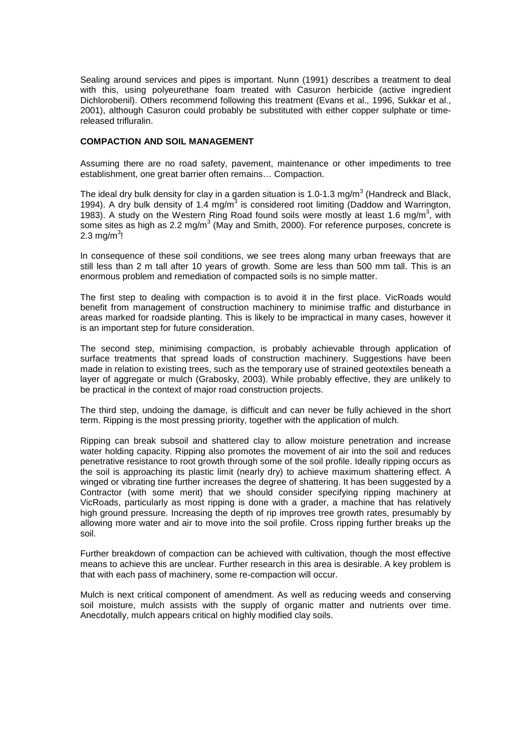Sealing around services and pipes is important. Nunn (1991) describes a treatment to deal with this, using polyeurethane foam treated with Casuron herbicide (active ingredient Dichlorobenil). Others recommend following this treatment (Evans et al., 1996, Sukkar et al., 2001), although Casuron could probably be substituted with either copper sulphate or timereleased trifluralin.

#### **COMPACTION AND SOIL MANAGEMENT**

Assuming there are no road safety, pavement, maintenance or other impediments to tree establishment, one great barrier often remains… Compaction.

The ideal dry bulk density for clay in a garden situation is 1.0-1.3 mg/m<sup>3</sup> (Handreck and Black, 1994). A dry bulk density of 1.4 mg/m<sup>3</sup> is considered root limiting (Daddow and Warrington, 1983). A study on the Western Ring Road found soils were mostly at least 1.6 mg/m<sup>3</sup>, with some sites as high as 2.2 mg/m<sup>3</sup> (May and Smith, 2000). For reference purposes, concrete is 2.3 mg/m $^3\mskip-5mu!$ 

In consequence of these soil conditions, we see trees along many urban freeways that are still less than 2 m tall after 10 years of growth. Some are less than 500 mm tall. This is an enormous problem and remediation of compacted soils is no simple matter.

The first step to dealing with compaction is to avoid it in the first place. VicRoads would benefit from management of construction machinery to minimise traffic and disturbance in areas marked for roadside planting. This is likely to be impractical in many cases, however it is an important step for future consideration.

The second step, minimising compaction, is probably achievable through application of surface treatments that spread loads of construction machinery. Suggestions have been made in relation to existing trees, such as the temporary use of strained geotextiles beneath a layer of aggregate or mulch (Grabosky, 2003). While probably effective, they are unlikely to be practical in the context of major road construction projects.

The third step, undoing the damage, is difficult and can never be fully achieved in the short term. Ripping is the most pressing priority, together with the application of mulch.

Ripping can break subsoil and shattered clay to allow moisture penetration and increase water holding capacity. Ripping also promotes the movement of air into the soil and reduces penetrative resistance to root growth through some of the soil profile. Ideally ripping occurs as the soil is approaching its plastic limit (nearly dry) to achieve maximum shattering effect. A winged or vibrating tine further increases the degree of shattering. It has been suggested by a Contractor (with some merit) that we should consider specifying ripping machinery at VicRoads, particularly as most ripping is done with a grader, a machine that has relatively high ground pressure. Increasing the depth of rip improves tree growth rates, presumably by allowing more water and air to move into the soil profile. Cross ripping further breaks up the soil.

Further breakdown of compaction can be achieved with cultivation, though the most effective means to achieve this are unclear. Further research in this area is desirable. A key problem is that with each pass of machinery, some re-compaction will occur.

Mulch is next critical component of amendment. As well as reducing weeds and conserving soil moisture, mulch assists with the supply of organic matter and nutrients over time. Anecdotally, mulch appears critical on highly modified clay soils.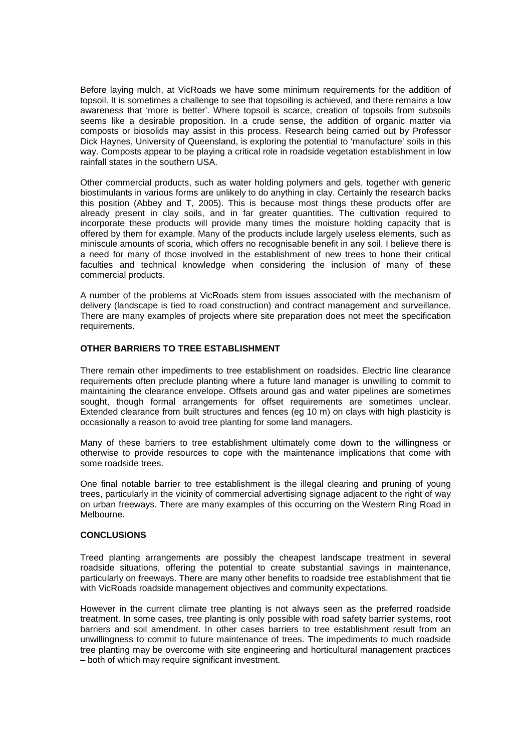Before laying mulch, at VicRoads we have some minimum requirements for the addition of topsoil. It is sometimes a challenge to see that topsoiling is achieved, and there remains a low awareness that 'more is better'. Where topsoil is scarce, creation of topsoils from subsoils seems like a desirable proposition. In a crude sense, the addition of organic matter via composts or biosolids may assist in this process. Research being carried out by Professor Dick Haynes, University of Queensland, is exploring the potential to 'manufacture' soils in this way. Composts appear to be playing a critical role in roadside vegetation establishment in low rainfall states in the southern USA.

Other commercial products, such as water holding polymers and gels, together with generic biostimulants in various forms are unlikely to do anything in clay. Certainly the research backs this position (Abbey and T, 2005). This is because most things these products offer are already present in clay soils, and in far greater quantities. The cultivation required to incorporate these products will provide many times the moisture holding capacity that is offered by them for example. Many of the products include largely useless elements, such as miniscule amounts of scoria, which offers no recognisable benefit in any soil. I believe there is a need for many of those involved in the establishment of new trees to hone their critical faculties and technical knowledge when considering the inclusion of many of these commercial products.

A number of the problems at VicRoads stem from issues associated with the mechanism of delivery (landscape is tied to road construction) and contract management and surveillance. There are many examples of projects where site preparation does not meet the specification requirements.

#### **OTHER BARRIERS TO TREE ESTABLISHMENT**

There remain other impediments to tree establishment on roadsides. Electric line clearance requirements often preclude planting where a future land manager is unwilling to commit to maintaining the clearance envelope. Offsets around gas and water pipelines are sometimes sought, though formal arrangements for offset requirements are sometimes unclear. Extended clearance from built structures and fences (eg 10 m) on clays with high plasticity is occasionally a reason to avoid tree planting for some land managers.

Many of these barriers to tree establishment ultimately come down to the willingness or otherwise to provide resources to cope with the maintenance implications that come with some roadside trees.

One final notable barrier to tree establishment is the illegal clearing and pruning of young trees, particularly in the vicinity of commercial advertising signage adjacent to the right of way on urban freeways. There are many examples of this occurring on the Western Ring Road in Melbourne.

#### **CONCLUSIONS**

Treed planting arrangements are possibly the cheapest landscape treatment in several roadside situations, offering the potential to create substantial savings in maintenance, particularly on freeways. There are many other benefits to roadside tree establishment that tie with VicRoads roadside management objectives and community expectations.

However in the current climate tree planting is not always seen as the preferred roadside treatment. In some cases, tree planting is only possible with road safety barrier systems, root barriers and soil amendment. In other cases barriers to tree establishment result from an unwillingness to commit to future maintenance of trees. The impediments to much roadside tree planting may be overcome with site engineering and horticultural management practices – both of which may require significant investment.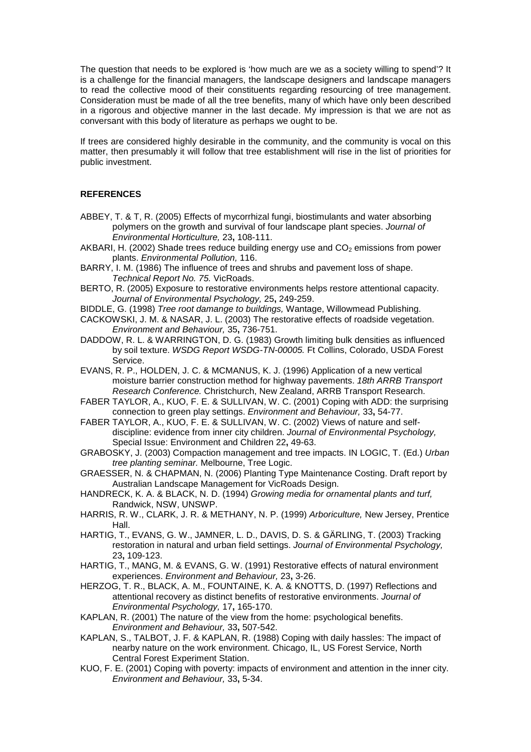The question that needs to be explored is 'how much are we as a society willing to spend'? It is a challenge for the financial managers, the landscape designers and landscape managers to read the collective mood of their constituents regarding resourcing of tree management. Consideration must be made of all the tree benefits, many of which have only been described in a rigorous and objective manner in the last decade. My impression is that we are not as conversant with this body of literature as perhaps we ought to be.

If trees are considered highly desirable in the community, and the community is vocal on this matter, then presumably it will follow that tree establishment will rise in the list of priorities for public investment.

# **REFERENCES**

- ABBEY, T. & T, R. (2005) Effects of mycorrhizal fungi, biostimulants and water absorbing polymers on the growth and survival of four landscape plant species. Journal of Environmental Horticulture, 23**,** 108-111.
- AKBARI, H. (2002) Shade trees reduce building energy use and  $CO<sub>2</sub>$  emissions from power plants. Environmental Pollution, 116.
- BARRY, I. M. (1986) The influence of trees and shrubs and pavement loss of shape. Technical Report No. 75. VicRoads.
- BERTO, R. (2005) Exposure to restorative environments helps restore attentional capacity. Journal of Environmental Psychology, 25**,** 249-259.
- BIDDLE, G. (1998) Tree root damange to buildings, Wantage, Willowmead Publishing.
- CACKOWSKI, J. M. & NASAR, J. L. (2003) The restorative effects of roadside vegetation. Environment and Behaviour, 35**,** 736-751.
- DADDOW, R. L. & WARRINGTON, D. G. (1983) Growth limiting bulk densities as influenced by soil texture. WSDG Report WSDG-TN-00005. Ft Collins, Colorado, USDA Forest Service.
- EVANS, R. P., HOLDEN, J. C. & MCMANUS, K. J. (1996) Application of a new vertical moisture barrier construction method for highway pavements. 18th ARRB Transport Research Conference. Christchurch, New Zealand, ARRB Transport Research.
- FABER TAYLOR, A., KUO, F. E. & SULLIVAN, W. C. (2001) Coping with ADD: the surprising connection to green play settings. Environment and Behaviour, 33**,** 54-77.
- FABER TAYLOR, A., KUO, F. E. & SULLIVAN, W. C. (2002) Views of nature and selfdiscipline: evidence from inner city children. Journal of Environmental Psychology, Special Issue: Environment and Children 22**,** 49-63.
- GRABOSKY, J. (2003) Compaction management and tree impacts. IN LOGIC, T. (Ed.) Urban tree planting seminar. Melbourne, Tree Logic.
- GRAESSER, N. & CHAPMAN, N. (2006) Planting Type Maintenance Costing. Draft report by Australian Landscape Management for VicRoads Design.
- HANDRECK, K. A. & BLACK, N. D. (1994) Growing media for ornamental plants and turf, Randwick, NSW, UNSWP.
- HARRIS, R. W., CLARK, J. R. & METHANY, N. P. (1999) Arboriculture, New Jersey, Prentice Hall.
- HARTIG, T., EVANS, G. W., JAMNER, L. D., DAVIS, D. S. & GÄRLING, T. (2003) Tracking restoration in natural and urban field settings. Journal of Environmental Psychology, 23**,** 109-123.
- HARTIG, T., MANG, M. & EVANS, G. W. (1991) Restorative effects of natural environment experiences. Environment and Behaviour, 23**,** 3-26.
- HERZOG, T. R., BLACK, A. M., FOUNTAINE, K. A. & KNOTTS, D. (1997) Reflections and attentional recovery as distinct benefits of restorative environments. Journal of Environmental Psychology, 17**,** 165-170.
- KAPLAN, R. (2001) The nature of the view from the home: psychological benefits. Environment and Behaviour, 33**,** 507-542.
- KAPLAN, S., TALBOT, J. F. & KAPLAN, R. (1988) Coping with daily hassles: The impact of nearby nature on the work environment. Chicago, IL, US Forest Service, North Central Forest Experiment Station.
- KUO, F. E. (2001) Coping with poverty: impacts of environment and attention in the inner city. Environment and Behaviour, 33**,** 5-34.